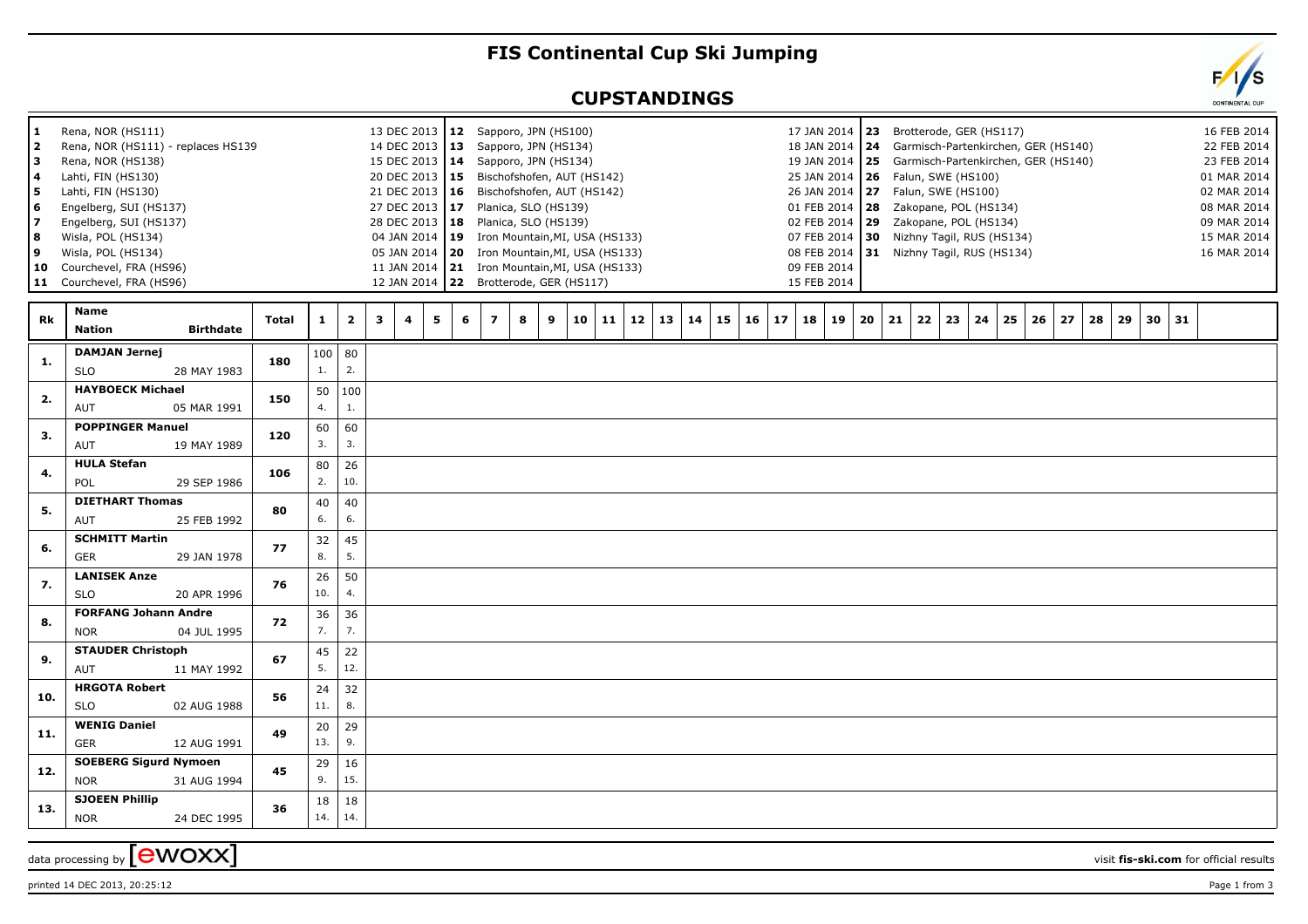## **FIS Continental Cup Ski Jumping**

## **CUPSTANDINGS**



printed 14 DEC 2013, 20:25:12 Page 1 from 3

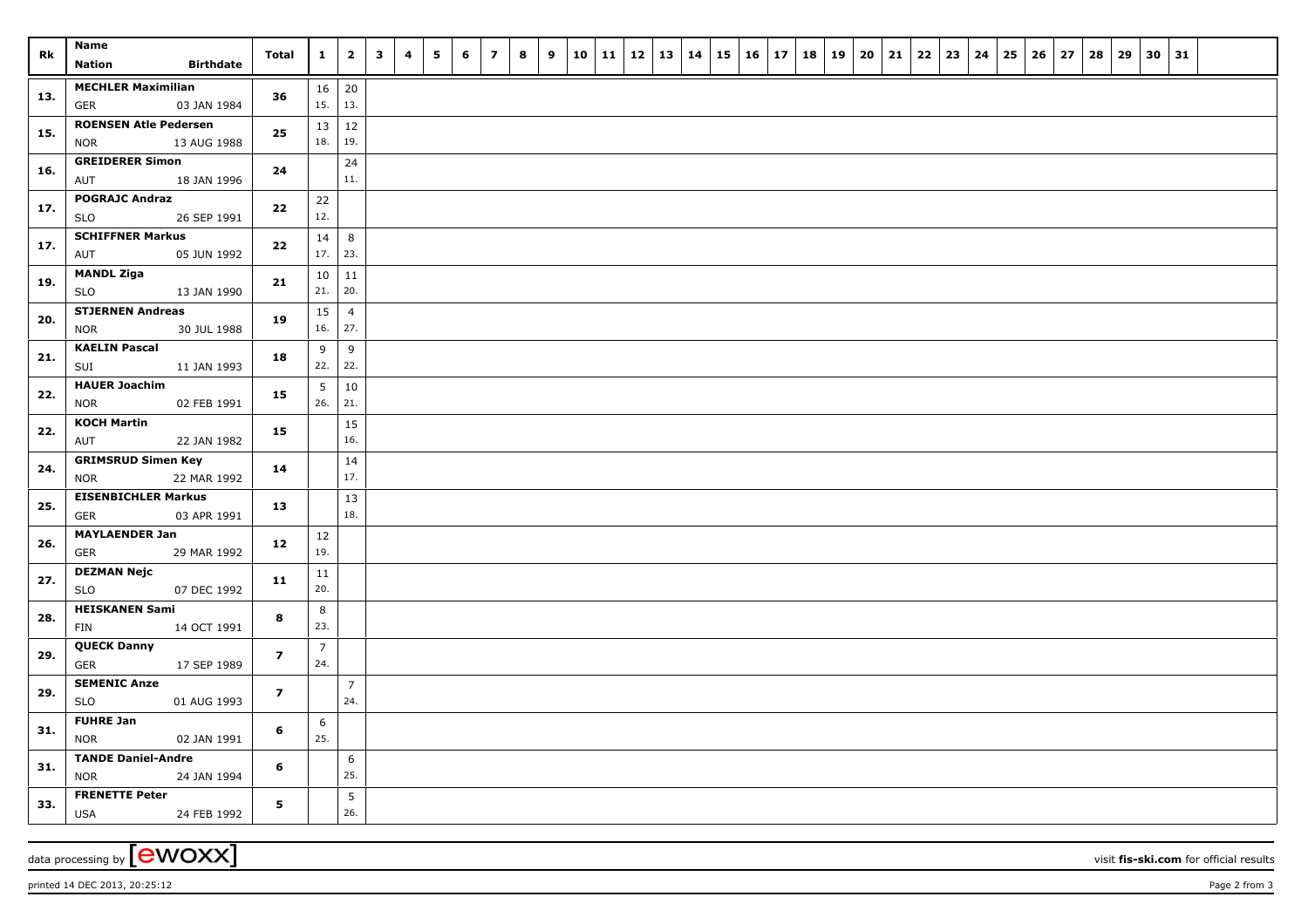| Rk  | Name<br><b>Nation</b>               | <b>Birthdate</b>  | Total          | $\mathbf{1}$   | $\overline{\mathbf{2}}$ | $\mathbf{3}$<br>4 | 5  | 6  | $\overline{z}$ | 8 | 9 | $10 \mid 11 \mid 12$ | 13 | $\vert$ 14 | 15 | 16 | $17$   18   19 | 20 | 21 | 22 | 23 | 24   25 | 26 | 27 | 28 | 29 | 30 | 31 |  |  |  |  |  |  |  |  |  |  |  |  |  |  |  |
|-----|-------------------------------------|-------------------|----------------|----------------|-------------------------|-------------------|----|----|----------------|---|---|----------------------|----|------------|----|----|----------------|----|----|----|----|---------|----|----|----|----|----|----|--|--|--|--|--|--|--|--|--|--|--|--|--|--|--|
|     | <b>MECHLER Maximilian</b>           |                   |                | 16             | 20                      |                   |    |    |                |   |   |                      |    |            |    |    |                |    |    |    |    |         |    |    |    |    |    |    |  |  |  |  |  |  |  |  |  |  |  |  |  |  |  |
| 13. | 03 JAN 1984<br>GER                  |                   | 36             | 15.            | 13.                     |                   |    |    |                |   |   |                      |    |            |    |    |                |    |    |    |    |         |    |    |    |    |    |    |  |  |  |  |  |  |  |  |  |  |  |  |  |  |  |
|     | <b>ROENSEN Atle Pedersen</b>        |                   |                |                |                         |                   |    |    |                |   |   |                      |    |            |    |    |                | 13 | 12 |    |    |         |    |    |    |    |    |    |  |  |  |  |  |  |  |  |  |  |  |  |  |  |  |
| 15. | <b>NOR</b>                          | 13 AUG 1988       | 25             | 18.            | 19.                     |                   |    |    |                |   |   |                      |    |            |    |    |                |    |    |    |    |         |    |    |    |    |    |    |  |  |  |  |  |  |  |  |  |  |  |  |  |  |  |
| 16. | <b>GREIDERER Simon</b>              |                   |                |                | 24                      |                   |    |    |                |   |   |                      |    |            |    |    |                | 24 |    |    |    |         |    |    |    |    |    |    |  |  |  |  |  |  |  |  |  |  |  |  |  |  |  |
|     | AUT                                 | 18 JAN 1996       |                |                | 11.                     |                   |    |    |                |   |   |                      |    |            |    |    |                |    |    |    |    |         |    |    |    |    |    |    |  |  |  |  |  |  |  |  |  |  |  |  |  |  |  |
| 17. | <b>POGRAJC Andraz</b>               |                   | 22             |                |                         |                   |    | 22 |                |   |   |                      |    |            |    |    |                |    |    |    |    |         |    |    |    |    |    |    |  |  |  |  |  |  |  |  |  |  |  |  |  |  |  |
|     | SLO                                 | 26 SEP 1991       |                | 12.            |                         |                   |    |    |                |   |   |                      |    |            |    |    |                |    |    |    |    |         |    |    |    |    |    |    |  |  |  |  |  |  |  |  |  |  |  |  |  |  |  |
| 17. | <b>SCHIFFNER Markus</b>             |                   | 22             | 14             | 8                       |                   |    |    |                |   |   |                      |    |            |    |    |                |    |    |    |    |         |    |    |    |    |    |    |  |  |  |  |  |  |  |  |  |  |  |  |  |  |  |
|     | AUT                                 | 05 JUN 1992       |                | 17.            | 23.                     |                   |    |    |                |   |   |                      |    |            |    |    |                |    |    |    |    |         |    |    |    |    |    |    |  |  |  |  |  |  |  |  |  |  |  |  |  |  |  |
| 19. | <b>MANDL Ziga</b>                   | 13 JAN 1990       | 21             | 10<br>21.      | $11\,$<br>20.           |                   |    |    |                |   |   |                      |    |            |    |    |                |    |    |    |    |         |    |    |    |    |    |    |  |  |  |  |  |  |  |  |  |  |  |  |  |  |  |
|     | SLO<br><b>STJERNEN Andreas</b>      |                   |                | 15             | $\overline{4}$          |                   |    |    |                |   |   |                      |    |            |    |    |                |    |    |    |    |         |    |    |    |    |    |    |  |  |  |  |  |  |  |  |  |  |  |  |  |  |  |
| 20. | <b>NOR</b>                          | 30 JUL 1988       | 19             | 16.            | 27.                     |                   |    |    |                |   |   |                      |    |            |    |    |                |    |    |    |    |         |    |    |    |    |    |    |  |  |  |  |  |  |  |  |  |  |  |  |  |  |  |
|     | <b>KAELIN Pascal</b>                |                   | 18             | 9              | 9                       |                   |    |    |                |   |   |                      |    |            |    |    |                |    |    |    |    |         |    |    |    |    |    |    |  |  |  |  |  |  |  |  |  |  |  |  |  |  |  |
| 21. | SUI                                 | 11 JAN 1993       |                | 22.            | 22.                     |                   |    |    |                |   |   |                      |    |            |    |    |                |    |    |    |    |         |    |    |    |    |    |    |  |  |  |  |  |  |  |  |  |  |  |  |  |  |  |
|     | <b>HAUER Joachim</b>                |                   |                | 5              | 10                      |                   |    |    |                |   |   |                      |    |            |    |    |                |    |    |    |    |         |    |    |    |    |    |    |  |  |  |  |  |  |  |  |  |  |  |  |  |  |  |
| 22. | <b>NOR</b>                          | 02 FEB 1991       | 15             | 26.            | 21.                     |                   |    |    |                |   |   |                      |    |            |    |    |                |    |    |    |    |         |    |    |    |    |    |    |  |  |  |  |  |  |  |  |  |  |  |  |  |  |  |
| 22. | <b>KOCH Martin</b>                  |                   |                | 15             |                         |                   |    | 15 |                |   |   |                      |    |            |    |    |                |    |    |    |    |         |    |    |    |    |    |    |  |  |  |  |  |  |  |  |  |  |  |  |  |  |  |
|     | AUT                                 | 22 JAN 1982       |                |                | 16.                     |                   |    |    |                |   |   |                      |    |            |    |    |                |    |    |    |    |         |    |    |    |    |    |    |  |  |  |  |  |  |  |  |  |  |  |  |  |  |  |
| 24. | <b>GRIMSRUD Simen Key</b>           |                   | 14             |                | $14\,$                  |                   |    |    |                |   |   |                      |    |            |    |    |                |    |    |    |    |         |    |    |    |    |    |    |  |  |  |  |  |  |  |  |  |  |  |  |  |  |  |
|     | <b>NOR</b>                          | 22 MAR 1992       |                |                | 17.                     |                   |    |    |                |   |   |                      |    |            |    |    |                |    |    |    |    |         |    |    |    |    |    |    |  |  |  |  |  |  |  |  |  |  |  |  |  |  |  |
| 25. | <b>EISENBICHLER Markus</b>          |                   | 13             |                | 13                      |                   |    |    |                |   |   |                      |    |            |    |    |                |    |    |    |    |         |    |    |    |    |    |    |  |  |  |  |  |  |  |  |  |  |  |  |  |  |  |
|     | <b>GER</b>                          | 03 APR 1991       |                |                | 18.                     |                   |    |    |                |   |   |                      |    |            |    |    |                |    |    |    |    |         |    |    |    |    |    |    |  |  |  |  |  |  |  |  |  |  |  |  |  |  |  |
| 26. | <b>MAYLAENDER Jan</b><br><b>GER</b> | 29 MAR 1992       | 12             | 12<br>19.      |                         |                   |    |    |                |   |   |                      |    |            |    |    |                |    |    |    |    |         |    |    |    |    |    |    |  |  |  |  |  |  |  |  |  |  |  |  |  |  |  |
|     | <b>DEZMAN Nejc</b>                  |                   |                |                |                         |                   | 11 |    |                |   |   |                      |    |            |    |    |                |    |    |    |    |         |    |    |    |    |    |    |  |  |  |  |  |  |  |  |  |  |  |  |  |  |  |
| 27. | SLO                                 | 11<br>07 DEC 1992 |                | 20.            |                         |                   |    |    |                |   |   |                      |    |            |    |    |                |    |    |    |    |         |    |    |    |    |    |    |  |  |  |  |  |  |  |  |  |  |  |  |  |  |  |
|     | <b>HEISKANEN Sami</b>               |                   |                | 8              |                         |                   |    |    |                |   |   |                      |    |            |    |    |                |    |    |    |    |         |    |    |    |    |    |    |  |  |  |  |  |  |  |  |  |  |  |  |  |  |  |
| 28. | FIN                                 | 14 OCT 1991       | 8              | 23.            |                         |                   |    |    |                |   |   |                      |    |            |    |    |                |    |    |    |    |         |    |    |    |    |    |    |  |  |  |  |  |  |  |  |  |  |  |  |  |  |  |
| 29. | <b>QUECK Danny</b>                  |                   | $\overline{z}$ | $\overline{7}$ |                         |                   |    |    |                |   |   |                      |    |            |    |    |                |    |    |    |    |         |    |    |    |    |    |    |  |  |  |  |  |  |  |  |  |  |  |  |  |  |  |
|     | GER                                 | 17 SEP 1989       |                | 24.            |                         |                   |    |    |                |   |   |                      |    |            |    |    |                |    |    |    |    |         |    |    |    |    |    |    |  |  |  |  |  |  |  |  |  |  |  |  |  |  |  |
| 29. | <b>SEMENIC Anze</b>                 |                   | $\overline{z}$ |                | $\overline{7}$          |                   |    |    |                |   |   |                      |    |            |    |    |                |    |    |    |    |         |    |    |    |    |    |    |  |  |  |  |  |  |  |  |  |  |  |  |  |  |  |
|     | <b>SLO</b>                          | 01 AUG 1993       |                |                | 24.                     |                   |    |    |                |   |   |                      |    |            |    |    |                |    |    |    |    |         |    |    |    |    |    |    |  |  |  |  |  |  |  |  |  |  |  |  |  |  |  |
| 31. | <b>FUHRE Jan</b>                    |                   | 6              | 6              |                         |                   |    |    |                |   |   |                      |    |            |    |    |                |    |    |    |    |         |    |    |    |    |    |    |  |  |  |  |  |  |  |  |  |  |  |  |  |  |  |
|     | <b>NOR</b>                          | 02 JAN 1991       |                | 25.            |                         |                   |    |    |                |   |   |                      |    |            |    |    |                |    |    |    |    |         |    |    |    |    |    |    |  |  |  |  |  |  |  |  |  |  |  |  |  |  |  |
| 31. | <b>TANDE Daniel-Andre</b><br>NOR    | 24 JAN 1994       | 6              |                | 6<br>25.                |                   |    |    |                |   |   |                      |    |            |    |    |                |    |    |    |    |         |    |    |    |    |    |    |  |  |  |  |  |  |  |  |  |  |  |  |  |  |  |
|     | <b>FRENETTE Peter</b>               |                   |                |                | 5                       |                   |    |    |                |   |   |                      |    |            |    |    |                |    |    |    |    |         |    |    |    |    |    |    |  |  |  |  |  |  |  |  |  |  |  |  |  |  |  |
| 33. | <b>USA</b>                          | 24 FEB 1992       | 5              |                | 26.                     |                   |    |    |                |   |   |                      |    |            |    |    |                |    |    |    |    |         |    |    |    |    |    |    |  |  |  |  |  |  |  |  |  |  |  |  |  |  |  |
|     |                                     |                   |                |                |                         |                   |    |    |                |   |   |                      |    |            |    |    |                |    |    |    |    |         |    |    |    |    |    |    |  |  |  |  |  |  |  |  |  |  |  |  |  |  |  |

data processing by **CWOXX** visit **fis-ski.com** for official results